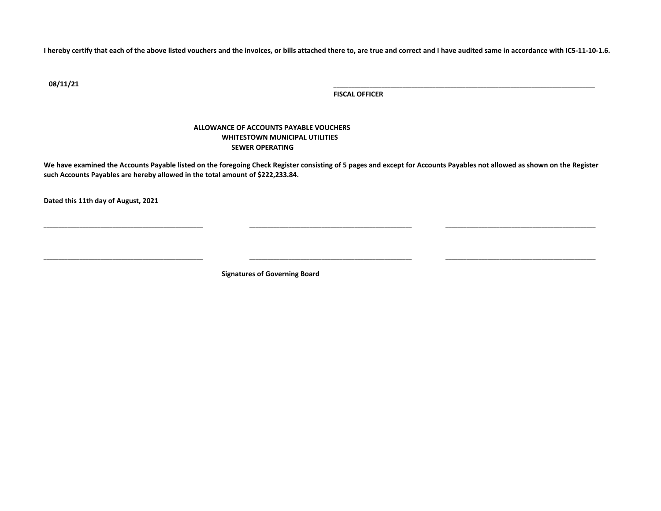**I hereby certify that each of the above listed vouchers and the invoices, or bills attached there to, are true and correct and I have audited same in accordance with IC5-11-10-1.6.**

**08/11/21** \_\_\_\_\_\_\_\_\_\_\_\_\_\_\_\_\_\_\_\_\_\_\_\_\_\_\_\_\_\_\_\_\_\_\_\_\_\_\_\_\_\_\_\_\_\_\_\_\_\_\_\_\_\_\_\_\_\_\_\_\_\_\_\_\_\_\_\_\_\_\_\_\_\_\_\_\_\_\_\_\_\_\_\_\_\_\_

**FISCAL OFFICER**

## **ALLOWANCE OF ACCOUNTS PAYABLE VOUCHERS WHITESTOWN MUNICIPAL UTILITIES SEWER OPERATING**

**We have examined the Accounts Payable listed on the foregoing Check Register consisting of 5 pages and except for Accounts Payables not allowed as shown on the Register such Accounts Payables are hereby allowed in the total amount of \$222,233.84.**

\_\_\_\_\_\_\_\_\_\_\_\_\_\_\_\_\_\_\_\_\_\_\_\_\_\_\_\_\_\_\_\_\_\_\_\_\_\_\_\_\_\_\_\_\_\_\_\_\_\_\_\_\_ \_\_\_\_\_\_\_\_\_\_\_\_\_\_\_\_\_\_\_\_\_\_\_\_\_\_\_\_\_\_\_\_\_\_\_\_\_\_\_\_\_\_\_\_\_\_\_\_\_\_\_\_\_\_ \_\_\_\_\_\_\_\_\_\_\_\_\_\_\_\_\_\_\_\_\_\_\_\_\_\_\_\_\_\_\_\_\_\_\_\_\_\_\_\_\_\_\_\_\_\_\_\_\_\_

\_\_\_\_\_\_\_\_\_\_\_\_\_\_\_\_\_\_\_\_\_\_\_\_\_\_\_\_\_\_\_\_\_\_\_\_\_\_\_\_\_\_\_\_\_\_\_\_\_\_\_\_\_ \_\_\_\_\_\_\_\_\_\_\_\_\_\_\_\_\_\_\_\_\_\_\_\_\_\_\_\_\_\_\_\_\_\_\_\_\_\_\_\_\_\_\_\_\_\_\_\_\_\_\_\_\_\_ \_\_\_\_\_\_\_\_\_\_\_\_\_\_\_\_\_\_\_\_\_\_\_\_\_\_\_\_\_\_\_\_\_\_\_\_\_\_\_\_\_\_\_\_\_\_\_\_\_\_

**Dated this 11th day of August, 2021**

**Signatures of Governing Board**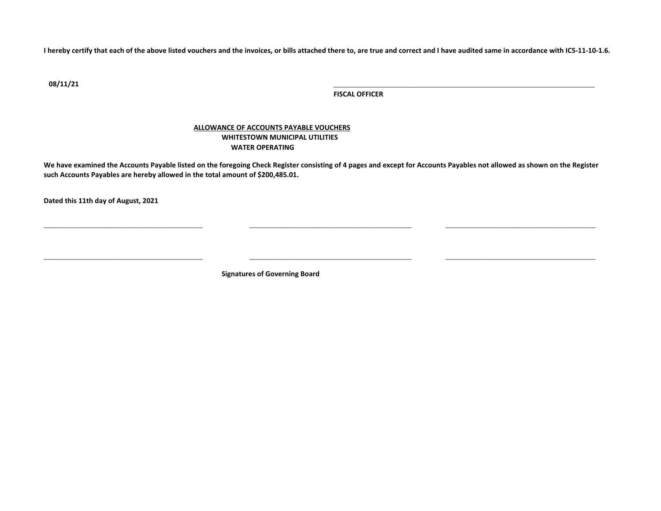**I hereby certify that each of the above listed vouchers and the invoices, or bills attached there to, are true and correct and I have audited same in accordance with IC5-11-10-1.6.**

**08/11/21** \_\_\_\_\_\_\_\_\_\_\_\_\_\_\_\_\_\_\_\_\_\_\_\_\_\_\_\_\_\_\_\_\_\_\_\_\_\_\_\_\_\_\_\_\_\_\_\_\_\_\_\_\_\_\_\_\_\_\_\_\_\_\_\_\_\_\_\_\_\_\_\_\_\_\_\_\_\_\_\_\_\_\_\_\_\_\_

**FISCAL OFFICER**

## **ALLOWANCE OF ACCOUNTS PAYABLE VOUCHERS WHITESTOWN MUNICIPAL UTILITIES WATER OPERATING**

**We have examined the Accounts Payable listed on the foregoing Check Register consisting of 4 pages and except for Accounts Payables not allowed as shown on the Register such Accounts Payables are hereby allowed in the total amount of \$200,485.01.**

\_\_\_\_\_\_\_\_\_\_\_\_\_\_\_\_\_\_\_\_\_\_\_\_\_\_\_\_\_\_\_\_\_\_\_\_\_\_\_\_\_\_\_\_\_\_\_\_\_\_\_\_\_ \_\_\_\_\_\_\_\_\_\_\_\_\_\_\_\_\_\_\_\_\_\_\_\_\_\_\_\_\_\_\_\_\_\_\_\_\_\_\_\_\_\_\_\_\_\_\_\_\_\_\_\_\_\_ \_\_\_\_\_\_\_\_\_\_\_\_\_\_\_\_\_\_\_\_\_\_\_\_\_\_\_\_\_\_\_\_\_\_\_\_\_\_\_\_\_\_\_\_\_\_\_\_\_\_

\_\_\_\_\_\_\_\_\_\_\_\_\_\_\_\_\_\_\_\_\_\_\_\_\_\_\_\_\_\_\_\_\_\_\_\_\_\_\_\_\_\_\_\_\_\_\_\_\_\_\_\_\_ \_\_\_\_\_\_\_\_\_\_\_\_\_\_\_\_\_\_\_\_\_\_\_\_\_\_\_\_\_\_\_\_\_\_\_\_\_\_\_\_\_\_\_\_\_\_\_\_\_\_\_\_\_\_ \_\_\_\_\_\_\_\_\_\_\_\_\_\_\_\_\_\_\_\_\_\_\_\_\_\_\_\_\_\_\_\_\_\_\_\_\_\_\_\_\_\_\_\_\_\_\_\_\_\_

**Dated this 11th day of August, 2021**

**Signatures of Governing Board**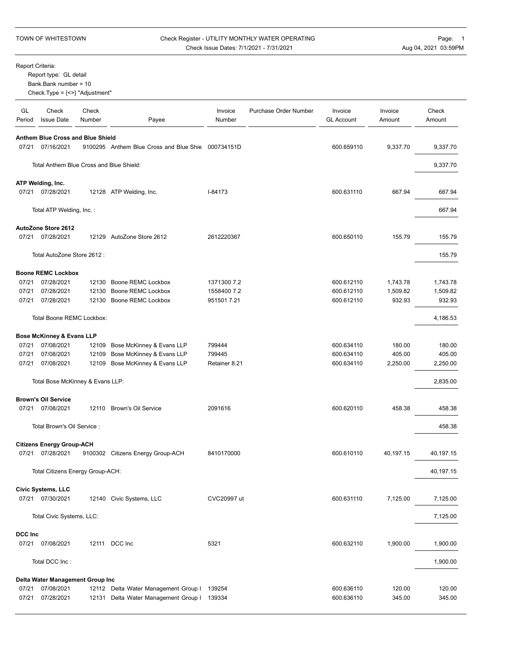## TOWN OF WHITESTOWN Check Register - UTILITY MONTHLY WATER OPERATING Page: 1 Check Issue Dates: 7/1/2021 - 7/31/2021 <br>
Aug 04, 2021 03:59PM

Report Criteria:

Report type: GL detail

Bank.Bank number = 10

Check.Type = {<>} "Adjustment"

| GL<br>Period | Check<br><b>Issue Date</b>                            | Check<br>Number | Payee                                              | Invoice<br>Number | Purchase Order Number | Invoice<br><b>GL Account</b> | Invoice<br>Amount | Check<br>Amount |
|--------------|-------------------------------------------------------|-----------------|----------------------------------------------------|-------------------|-----------------------|------------------------------|-------------------|-----------------|
|              |                                                       |                 |                                                    |                   |                       |                              |                   |                 |
|              | Anthem Blue Cross and Blue Shield<br>07/21 07/16/2021 |                 | 9100295 Anthem Blue Cross and Blue Shie 000734151D |                   |                       | 600.659110                   | 9,337.70          | 9,337.70        |
|              | Total Anthem Blue Cross and Blue Shield:              |                 |                                                    |                   |                       |                              |                   | 9,337.70        |
|              |                                                       |                 |                                                    |                   |                       |                              |                   |                 |
|              | ATP Welding, Inc.<br>07/21 07/28/2021                 |                 | 12128 ATP Welding, Inc.                            | I-84173           |                       | 600.631110                   | 667.94            | 667.94          |
|              | Total ATP Welding, Inc.:                              |                 |                                                    |                   |                       |                              |                   | 667.94          |
|              | AutoZone Store 2612                                   |                 |                                                    |                   |                       |                              |                   |                 |
|              | 07/21 07/28/2021                                      |                 | 12129 AutoZone Store 2612                          | 2612220367        |                       | 600.650110                   | 155.79            | 155.79          |
|              | Total AutoZone Store 2612 :                           |                 |                                                    |                   |                       |                              |                   | 155.79          |
|              | <b>Boone REMC Lockbox</b>                             |                 |                                                    |                   |                       |                              |                   |                 |
| 07/21        | 07/28/2021                                            |                 | 12130 Boone REMC Lockbox                           | 1371300 7.2       |                       | 600.612110                   | 1,743.78          | 1,743.78        |
| 07/21        | 07/28/2021                                            | 12130           | Boone REMC Lockbox                                 | 1558400 7.2       |                       | 600.612110                   | 1,509.82          | 1,509.82        |
| 07/21        | 07/28/2021                                            |                 | 12130 Boone REMC Lockbox                           | 951501 7.21       |                       | 600.612110                   | 932.93            | 932.93          |
|              | Total Boone REMC Lockbox:                             |                 |                                                    |                   |                       |                              |                   | 4,186.53        |
|              | Bose McKinney & Evans LLP                             |                 |                                                    |                   |                       |                              |                   |                 |
|              | 07/21 07/08/2021                                      |                 | 12109 Bose McKinney & Evans LLP                    | 799444            |                       | 600.634110                   | 180.00            | 180.00          |
| 07/21        | 07/08/2021                                            | 12109           | Bose McKinney & Evans LLP                          | 799445            |                       | 600.634110                   | 405.00            | 405.00          |
| 07/21        | 07/08/2021                                            |                 | 12109 Bose McKinney & Evans LLP                    | Retainer 8.21     |                       | 600.634110                   | 2,250.00          | 2,250.00        |
|              | Total Bose McKinney & Evans LLP:                      |                 |                                                    |                   |                       |                              |                   | 2,835.00        |
|              | <b>Brown's Oil Service</b>                            |                 |                                                    |                   |                       |                              |                   |                 |
|              | 07/21 07/08/2021                                      |                 | 12110 Brown's Oil Service                          | 2091616           |                       | 600.620110                   | 458.38            | 458.38          |
|              | Total Brown's Oil Service :                           |                 |                                                    |                   |                       |                              |                   | 458.38          |
|              | <b>Citizens Energy Group-ACH</b>                      |                 |                                                    |                   |                       |                              |                   |                 |
|              | 07/21 07/28/2021                                      |                 | 9100302 Citizens Energy Group-ACH                  | 8410170000        |                       | 600.610110                   | 40,197.15         | 40,197.15       |
|              | Total Citizens Energy Group-ACH:                      |                 |                                                    |                   |                       |                              |                   | 40,197.15       |
|              | Civic Systems, LLC                                    |                 |                                                    |                   |                       |                              |                   |                 |
|              | 07/21 07/30/2021                                      |                 | 12140 Civic Systems, LLC                           | CVC20997 ut       |                       | 600.631110                   | 7,125.00          | 7,125.00        |
|              | Total Civic Systems, LLC:                             |                 |                                                    |                   |                       |                              |                   | 7,125.00        |
| DCC Inc      |                                                       |                 |                                                    |                   |                       |                              |                   |                 |
|              | 07/21 07/08/2021                                      |                 | 12111 DCC Inc                                      | 5321              |                       | 600.632110                   | 1,900.00          | 1,900.00        |
|              | Total DCC Inc:                                        |                 |                                                    |                   |                       |                              |                   | 1,900.00        |
|              |                                                       |                 |                                                    |                   |                       |                              |                   |                 |
| 07/21        | Delta Water Management Group Inc<br>07/08/2021        |                 | 12112 Delta Water Management Group I 139254        |                   |                       | 600.636110                   | 120.00            | 120.00          |
| 07/21        | 07/28/2021                                            |                 | 12131 Delta Water Management Group I 139334        |                   |                       | 600.636110                   | 345.00            | 345.00          |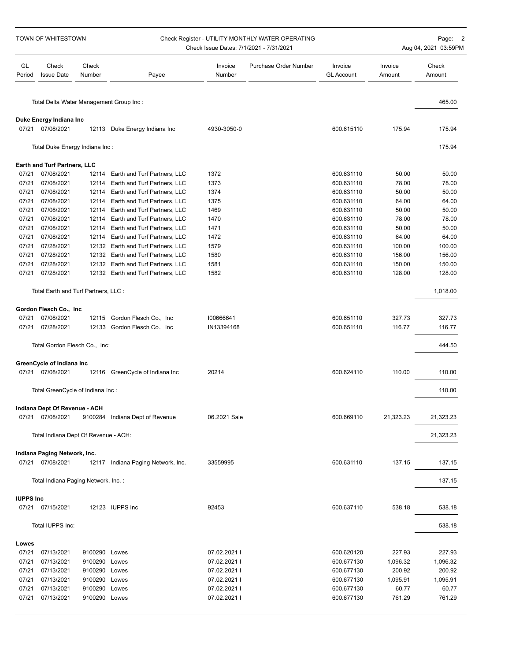| TOWN OF WHITESTOWN |                                             |                 |                                    | Check Register - UTILITY MONTHLY WATER OPERATING<br>Check Issue Dates: 7/1/2021 - 7/31/2021 | Page: 2<br>Aug 04, 2021 03:59PM |                              |                   |                 |
|--------------------|---------------------------------------------|-----------------|------------------------------------|---------------------------------------------------------------------------------------------|---------------------------------|------------------------------|-------------------|-----------------|
| GL<br>Period       | Check<br><b>Issue Date</b>                  | Check<br>Number | Payee                              | Invoice<br>Number                                                                           | Purchase Order Number           | Invoice<br><b>GL Account</b> | Invoice<br>Amount | Check<br>Amount |
|                    | Total Delta Water Management Group Inc:     |                 |                                    |                                                                                             |                                 |                              |                   | 465.00          |
|                    | Duke Energy Indiana Inc                     |                 |                                    |                                                                                             |                                 |                              |                   |                 |
| 07/21              | 07/08/2021                                  |                 | 12113 Duke Energy Indiana Inc      | 4930-3050-0                                                                                 |                                 | 600.615110                   | 175.94            | 175.94          |
|                    | Total Duke Energy Indiana Inc:              |                 |                                    |                                                                                             |                                 |                              |                   | 175.94          |
|                    | Earth and Turf Partners, LLC                |                 |                                    |                                                                                             |                                 |                              |                   |                 |
| 07/21              | 07/08/2021                                  | 12114           | Earth and Turf Partners, LLC       | 1372                                                                                        |                                 | 600.631110                   | 50.00             | 50.00           |
| 07/21              | 07/08/2021                                  | 12114           | Earth and Turf Partners, LLC       | 1373                                                                                        |                                 | 600.631110                   | 78.00             | 78.00           |
| 07/21              | 07/08/2021                                  |                 | 12114 Earth and Turf Partners, LLC | 1374                                                                                        |                                 | 600.631110                   | 50.00             | 50.00           |
| 07/21              | 07/08/2021                                  |                 | 12114 Earth and Turf Partners, LLC | 1375                                                                                        |                                 | 600.631110                   | 64.00             | 64.00           |
| 07/21              | 07/08/2021                                  |                 | 12114 Earth and Turf Partners, LLC | 1469                                                                                        |                                 | 600.631110                   | 50.00             | 50.00           |
| 07/21              | 07/08/2021                                  |                 | 12114 Earth and Turf Partners, LLC | 1470                                                                                        |                                 | 600.631110                   | 78.00             | 78.00           |
| 07/21              | 07/08/2021                                  | 12114           | Earth and Turf Partners, LLC       | 1471                                                                                        |                                 | 600.631110                   | 50.00             | 50.00           |
| 07/21              | 07/08/2021                                  |                 | 12114 Earth and Turf Partners, LLC | 1472                                                                                        |                                 | 600.631110                   | 64.00             | 64.00           |
| 07/21              | 07/28/2021                                  |                 |                                    | 1579                                                                                        |                                 | 600.631110                   | 100.00            | 100.00          |
|                    |                                             |                 | 12132 Earth and Turf Partners, LLC |                                                                                             |                                 |                              |                   |                 |
| 07/21              | 07/28/2021                                  |                 | 12132 Earth and Turf Partners, LLC | 1580                                                                                        |                                 | 600.631110                   | 156.00            | 156.00          |
| 07/21              | 07/28/2021                                  |                 | 12132 Earth and Turf Partners, LLC | 1581                                                                                        |                                 | 600.631110                   | 150.00            | 150.00          |
| 07/21              | 07/28/2021                                  |                 | 12132 Earth and Turf Partners, LLC | 1582                                                                                        |                                 | 600.631110                   | 128.00            | 128.00          |
|                    | Total Earth and Turf Partners, LLC :        |                 |                                    |                                                                                             |                                 |                              |                   | 1,018.00        |
|                    | Gordon Flesch Co., Inc.                     |                 |                                    |                                                                                             |                                 |                              |                   |                 |
| 07/21              | 07/08/2021                                  |                 | 12115 Gordon Flesch Co., Inc.      | 100666641                                                                                   |                                 | 600.651110                   | 327.73            | 327.73          |
| 07/21              | 07/28/2021                                  |                 | 12133 Gordon Flesch Co., Inc.      | IN13394168                                                                                  |                                 | 600.651110                   | 116.77            | 116.77          |
|                    | Total Gordon Flesch Co., Inc:               |                 |                                    |                                                                                             |                                 |                              |                   | 444.50          |
|                    | GreenCycle of Indiana Inc                   |                 |                                    |                                                                                             |                                 |                              |                   |                 |
|                    | 07/21 07/08/2021                            |                 | 12116 GreenCycle of Indiana Inc    | 20214                                                                                       |                                 | 600.624110                   | 110.00            | 110.00          |
|                    | Total GreenCycle of Indiana Inc:            |                 |                                    |                                                                                             |                                 |                              |                   | 110.00          |
|                    |                                             |                 |                                    |                                                                                             |                                 |                              |                   |                 |
| 07/21              | Indiana Dept Of Revenue - ACH<br>07/08/2021 |                 | 9100284 Indiana Dept of Revenue    | 06.2021 Sale                                                                                |                                 | 600.669110                   | 21,323.23         | 21,323.23       |
|                    | Total Indiana Dept Of Revenue - ACH:        |                 |                                    |                                                                                             |                                 |                              |                   | 21,323.23       |
|                    |                                             |                 |                                    |                                                                                             |                                 |                              |                   |                 |
|                    | Indiana Paging Network, Inc.                |                 |                                    |                                                                                             |                                 |                              |                   |                 |
|                    | 07/21 07/08/2021                            |                 | 12117 Indiana Paging Network, Inc. | 33559995                                                                                    |                                 | 600.631110                   | 137.15            | 137.15          |
|                    | Total Indiana Paging Network, Inc.:         |                 |                                    |                                                                                             |                                 |                              |                   | 137.15          |
| <b>IUPPS Inc</b>   |                                             |                 |                                    |                                                                                             |                                 |                              |                   |                 |
|                    | 07/21 07/15/2021                            |                 | 12123 IUPPS Inc                    | 92453                                                                                       |                                 | 600.637110                   | 538.18            | 538.18          |
|                    | Total IUPPS Inc:                            |                 |                                    |                                                                                             |                                 |                              |                   | 538.18          |
| Lowes              |                                             |                 |                                    |                                                                                             |                                 |                              |                   |                 |
| 07/21              | 07/13/2021                                  | 9100290 Lowes   |                                    | 07.02.2021 l                                                                                |                                 | 600.620120                   | 227.93            | 227.93          |
| 07/21              | 07/13/2021                                  | 9100290         | Lowes                              | 07.02.2021 l                                                                                |                                 | 600.677130                   | 1,096.32          | 1,096.32        |
| 07/21              | 07/13/2021                                  | 9100290 Lowes   |                                    | 07.02.2021 l                                                                                |                                 | 600.677130                   | 200.92            | 200.92          |
| 07/21              | 07/13/2021                                  | 9100290         | Lowes                              | 07.02.2021 l                                                                                |                                 | 600.677130                   | 1,095.91          | 1,095.91        |
| 07/21              | 07/13/2021                                  | 9100290         | Lowes                              | 07.02.2021 l                                                                                |                                 | 600.677130                   | 60.77             | 60.77           |
| 07/21              | 07/13/2021                                  | 9100290 Lowes   |                                    | 07.02.2021 l                                                                                |                                 | 600.677130                   | 761.29            | 761.29          |
|                    |                                             |                 |                                    |                                                                                             |                                 |                              |                   |                 |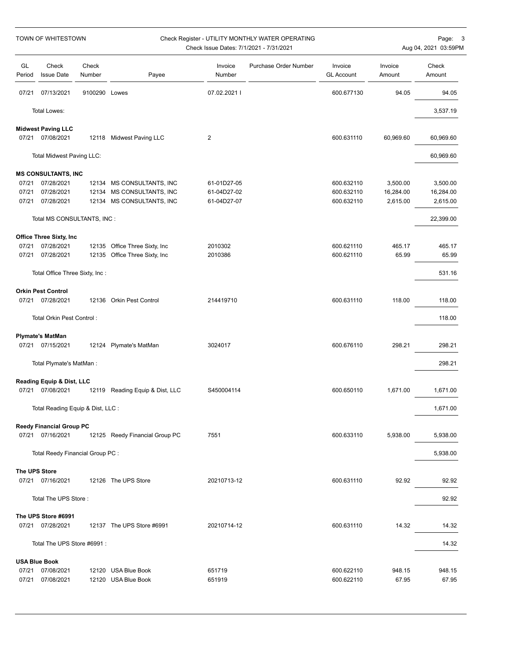| TOWN OF WHITESTOWN |                                   |                 | Check Register - UTILITY MONTHLY WATER OPERATING<br>Check Issue Dates: 7/1/2021 - 7/31/2021 |                   |                       |                              |                   | Page: 3<br>Aug 04, 2021 03:59PM |
|--------------------|-----------------------------------|-----------------|---------------------------------------------------------------------------------------------|-------------------|-----------------------|------------------------------|-------------------|---------------------------------|
| GL<br>Period       | Check<br><b>Issue Date</b>        | Check<br>Number | Payee                                                                                       | Invoice<br>Number | Purchase Order Number | Invoice<br><b>GL Account</b> | Invoice<br>Amount | Check<br>Amount                 |
| 07/21              | 07/13/2021                        | 9100290 Lowes   |                                                                                             | 07.02.2021 l      |                       | 600.677130                   | 94.05             | 94.05                           |
|                    | Total Lowes:                      |                 |                                                                                             |                   |                       |                              |                   | 3,537.19                        |
|                    | <b>Midwest Paving LLC</b>         |                 |                                                                                             |                   |                       |                              |                   |                                 |
| 07/21              | 07/08/2021                        | 12118           | Midwest Paving LLC                                                                          | 2                 |                       | 600.631110                   | 60,969.60         | 60,969.60                       |
|                    | Total Midwest Paving LLC:         |                 |                                                                                             |                   |                       |                              |                   | 60,969.60                       |
|                    | <b>MS CONSULTANTS, INC</b>        |                 |                                                                                             |                   |                       |                              |                   |                                 |
| 07/21              | 07/28/2021                        |                 | 12134 MS CONSULTANTS, INC                                                                   | 61-01D27-05       |                       | 600.632110                   | 3,500.00          | 3,500.00                        |
| 07/21              | 07/28/2021                        |                 | 12134 MS CONSULTANTS, INC                                                                   | 61-04D27-02       |                       | 600.632110                   | 16,284.00         | 16,284.00                       |
| 07/21              | 07/28/2021                        |                 | 12134 MS CONSULTANTS, INC                                                                   | 61-04D27-07       |                       | 600.632110                   | 2,615.00          | 2,615.00                        |
|                    | Total MS CONSULTANTS, INC :       |                 |                                                                                             |                   |                       |                              |                   | 22,399.00                       |
|                    | Office Three Sixty, Inc           |                 |                                                                                             |                   |                       |                              |                   |                                 |
| 07/21              | 07/28/2021                        |                 | 12135 Office Three Sixty, Inc                                                               | 2010302           |                       | 600.621110                   | 465.17            | 465.17                          |
| 07/21              | 07/28/2021                        |                 | 12135 Office Three Sixty, Inc                                                               | 2010386           |                       | 600.621110                   | 65.99             | 65.99                           |
|                    | Total Office Three Sixty, Inc:    |                 |                                                                                             |                   |                       |                              |                   | 531.16                          |
|                    | <b>Orkin Pest Control</b>         |                 |                                                                                             |                   |                       |                              |                   |                                 |
|                    | 07/21 07/28/2021                  |                 | 12136 Orkin Pest Control                                                                    | 214419710         |                       | 600.631110                   | 118.00            | 118.00                          |
|                    | Total Orkin Pest Control:         |                 |                                                                                             |                   |                       |                              |                   | 118.00                          |
|                    | <b>Plymate's MatMan</b>           |                 |                                                                                             |                   |                       |                              |                   |                                 |
| 07/21              | 07/15/2021                        |                 | 12124 Plymate's MatMan                                                                      | 3024017           |                       | 600.676110                   | 298.21            | 298.21                          |
|                    | Total Plymate's MatMan:           |                 |                                                                                             |                   |                       |                              |                   | 298.21                          |
|                    | Reading Equip & Dist, LLC         |                 |                                                                                             |                   |                       |                              |                   |                                 |
| 07/21              | 07/08/2021                        |                 | 12119 Reading Equip & Dist, LLC                                                             | S450004114        |                       | 600.650110                   | 1,671.00          | 1,671.00                        |
|                    | Total Reading Equip & Dist, LLC : |                 |                                                                                             |                   |                       |                              |                   | 1,671.00                        |
|                    | <b>Reedy Financial Group PC</b>   |                 |                                                                                             |                   |                       |                              |                   |                                 |
|                    | 07/21 07/16/2021                  |                 | 12125 Reedy Financial Group PC                                                              | 7551              |                       | 600.633110                   | 5,938.00          | 5,938.00                        |
|                    | Total Reedy Financial Group PC :  |                 |                                                                                             |                   |                       |                              |                   | 5,938.00                        |
|                    | The UPS Store                     |                 |                                                                                             |                   |                       |                              |                   |                                 |
|                    | 07/21 07/16/2021                  |                 | 12126 The UPS Store                                                                         | 20210713-12       |                       | 600.631110                   | 92.92             | 92.92                           |
|                    | Total The UPS Store:              |                 |                                                                                             |                   |                       |                              |                   | 92.92                           |
|                    | The UPS Store #6991               |                 |                                                                                             |                   |                       |                              |                   |                                 |
|                    | 07/21 07/28/2021                  |                 | 12137 The UPS Store #6991                                                                   | 20210714-12       |                       | 600.631110                   | 14.32             | 14.32                           |
|                    | Total The UPS Store #6991 :       |                 |                                                                                             |                   |                       |                              |                   | 14.32                           |
|                    | <b>USA Blue Book</b>              |                 |                                                                                             |                   |                       |                              |                   |                                 |
| 07/21              | 07/08/2021                        |                 | 12120 USA Blue Book                                                                         | 651719            |                       | 600.622110                   | 948.15            | 948.15                          |
| 07/21              | 07/08/2021                        |                 | 12120 USA Blue Book                                                                         | 651919            |                       | 600.622110                   | 67.95             | 67.95                           |